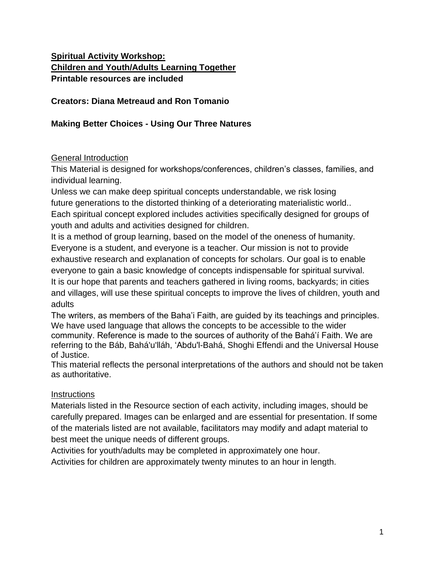## **Spiritual Activity Workshop: Children and Youth/Adults Learning Together Printable resources are included**

#### **Creators: Diana Metreaud and Ron Tomanio**

### **Making Better Choices - Using Our Three Natures**

### General Introduction

This Material is designed for workshops/conferences, children's classes, families, and individual learning.

Unless we can make deep spiritual concepts understandable, we risk losing future generations to the distorted thinking of a deteriorating materialistic world.. Each spiritual concept explored includes activities specifically designed for groups of youth and adults and activities designed for children.

It is a method of group learning, based on the model of the oneness of humanity. Everyone is a student, and everyone is a teacher. Our mission is not to provide exhaustive research and explanation of concepts for scholars. Our goal is to enable everyone to gain a basic knowledge of concepts indispensable for spiritual survival. It is our hope that parents and teachers gathered in living rooms, backyards; in cities and villages, will use these spiritual concepts to improve the lives of children, youth and adults

The writers, as members of the Baha'i Faith, are guided by its teachings and principles. We have used language that allows the concepts to be accessible to the wider community. Reference is made to the sources of authority of the Bahá'í Faith. We are referring to the Báb, Bahá'u'lláh, 'Abdu'l-Bahá, Shoghi Effendi and the Universal House of Justice.

This material reflects the personal interpretations of the authors and should not be taken as authoritative.

#### **Instructions**

Materials listed in the Resource section of each activity, including images, should be carefully prepared. Images can be enlarged and are essential for presentation. If some of the materials listed are not available, facilitators may modify and adapt material to best meet the unique needs of different groups.

Activities for youth/adults may be completed in approximately one hour. Activities for children are approximately twenty minutes to an hour in length.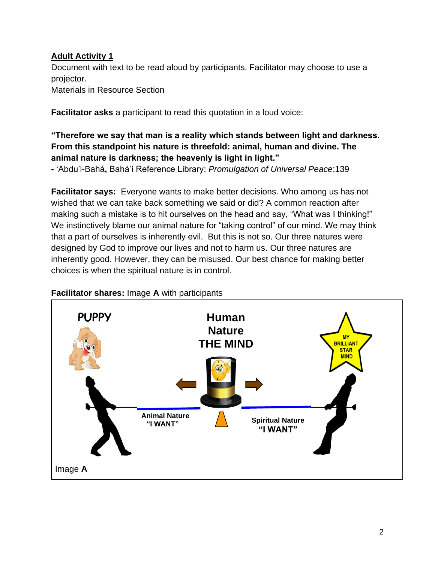### **Adult Activity 1**

Document with text to be read aloud by participants. Facilitator may choose to use a projector.

Materials in Resource Section

**Facilitator asks** a participant to read this quotation in a loud voice:

## **"Therefore we say that man is a reality which stands between light and darkness. From this standpoint his nature is threefold: animal, human and divine. The animal nature is darkness; the heavenly is light in light."**

**-** 'Abdu'l-Bahá**,** Bahá'í Reference Library: *Promulgation of Universal Peace*:139

**Facilitator says:** Everyone wants to make better decisions. Who among us has not wished that we can take back something we said or did? A common reaction after making such a mistake is to hit ourselves on the head and say, "What was I thinking!" We instinctively blame our animal nature for "taking control" of our mind. We may think that a part of ourselves is inherently evil. But this is not so. Our three natures were designed by God to improve our lives and not to harm us. Our three natures are inherently good. However, they can be misused. Our best chance for making better choices is when the spiritual nature is in control.



#### **Facilitator shares:** Image **A** with participants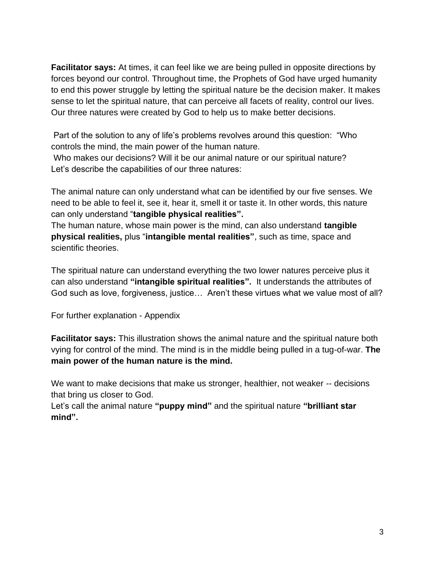**Facilitator says:** At times, it can feel like we are being pulled in opposite directions by forces beyond our control. Throughout time, the Prophets of God have urged humanity to end this power struggle by letting the spiritual nature be the decision maker. It makes sense to let the spiritual nature, that can perceive all facets of reality, control our lives. Our three natures were created by God to help us to make better decisions.

Part of the solution to any of life's problems revolves around this question: "Who controls the mind, the main power of the human nature.

Who makes our decisions? Will it be our animal nature or our spiritual nature? Let's describe the capabilities of our three natures:

The animal nature can only understand what can be identified by our five senses. We need to be able to feel it, see it, hear it, smell it or taste it. In other words, this nature can only understand "**tangible physical realities".**

The human nature, whose main power is the mind, can also understand **tangible physical realities,** plus "**intangible mental realities"**, such as time, space and scientific theories.

The spiritual nature can understand everything the two lower natures perceive plus it can also understand **"intangible spiritual realities".** It understands the attributes of God such as love, forgiveness, justice… Aren't these virtues what we value most of all?

For further explanation - Appendix

**Facilitator says:** This illustration shows the animal nature and the spiritual nature both vying for control of the mind. The mind is in the middle being pulled in a tug-of-war. **The main power of the human nature is the mind.** 

We want to make decisions that make us stronger, healthier, not weaker -- decisions that bring us closer to God.

Let's call the animal nature **"puppy mind"** and the spiritual nature **"brilliant star mind".**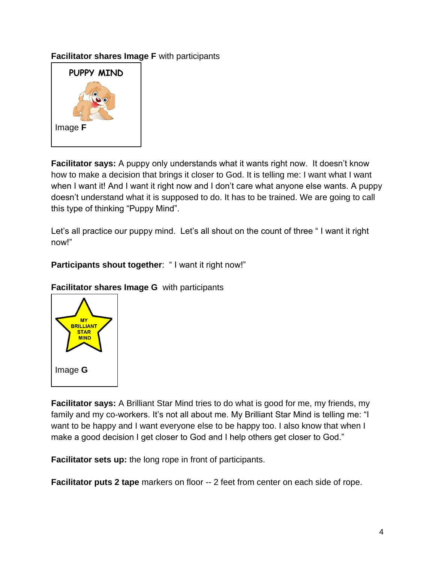### **Facilitator shares Image F** with participants



**Facilitator says:** A puppy only understands what it wants right now. It doesn't know how to make a decision that brings it closer to God. It is telling me: I want what I want when I want it! And I want it right now and I don't care what anyone else wants. A puppy doesn't understand what it is supposed to do. It has to be trained. We are going to call this type of thinking "Puppy Mind".

Let's all practice our puppy mind. Let's all shout on the count of three " I want it right now!"

### **Participants shout together**: " I want it right now!"



## **Facilitator shares Image G** with participants

**Facilitator says:** A Brilliant Star Mind tries to do what is good for me, my friends, my family and my co-workers. It's not all about me. My Brilliant Star Mind is telling me: "I want to be happy and I want everyone else to be happy too. I also know that when I make a good decision I get closer to God and I help others get closer to God."

**Facilitator sets up:** the long rope in front of participants.

**Facilitator puts 2 tape** markers on floor -- 2 feet from center on each side of rope.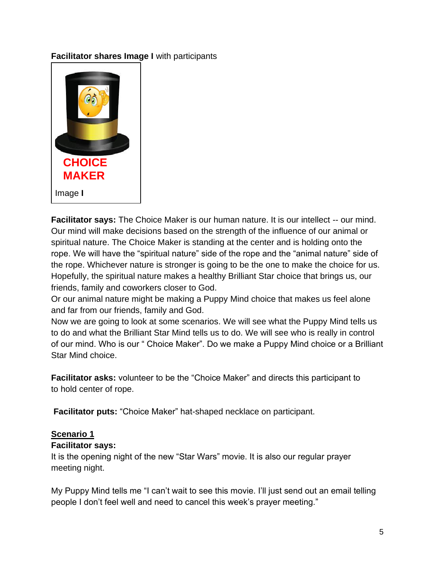### **Facilitator shares Image I** with participants



**Facilitator says:** The Choice Maker is our human nature. It is our intellect -- our mind. Our mind will make decisions based on the strength of the influence of our animal or spiritual nature. The Choice Maker is standing at the center and is holding onto the rope. We will have the "spiritual nature" side of the rope and the "animal nature" side of the rope. Whichever nature is stronger is going to be the one to make the choice for us. Hopefully, the spiritual nature makes a healthy Brilliant Star choice that brings us, our friends, family and coworkers closer to God.

Or our animal nature might be making a Puppy Mind choice that makes us feel alone and far from our friends, family and God.

Now we are going to look at some scenarios. We will see what the Puppy Mind tells us to do and what the Brilliant Star Mind tells us to do. We will see who is really in control of our mind. Who is our " Choice Maker". Do we make a Puppy Mind choice or a Brilliant Star Mind choice.

**Facilitator asks:** volunteer to be the "Choice Maker" and directs this participant to to hold center of rope.

**Facilitator puts:** "Choice Maker" hat-shaped necklace on participant.

#### **Scenario 1**

#### **Facilitator says:**

It is the opening night of the new "Star Wars" movie. It is also our regular prayer meeting night.

My Puppy Mind tells me "I can't wait to see this movie. I'll just send out an email telling people I don't feel well and need to cancel this week's prayer meeting."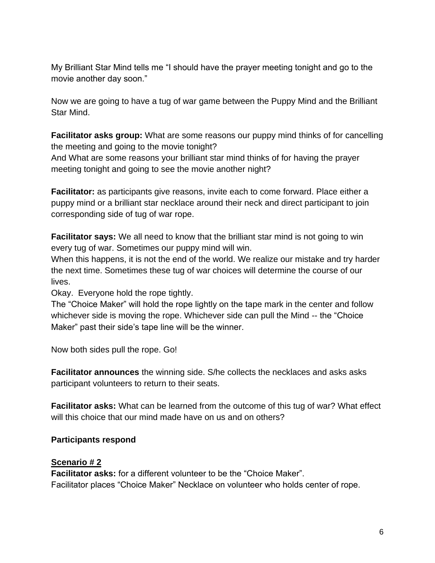My Brilliant Star Mind tells me "I should have the prayer meeting tonight and go to the movie another day soon."

Now we are going to have a tug of war game between the Puppy Mind and the Brilliant Star Mind.

**Facilitator asks group:** What are some reasons our puppy mind thinks of for cancelling the meeting and going to the movie tonight?

And What are some reasons your brilliant star mind thinks of for having the prayer meeting tonight and going to see the movie another night?

**Facilitator:** as participants give reasons, invite each to come forward. Place either a puppy mind or a brilliant star necklace around their neck and direct participant to join corresponding side of tug of war rope.

**Facilitator says:** We all need to know that the brilliant star mind is not going to win every tug of war. Sometimes our puppy mind will win.

When this happens, it is not the end of the world. We realize our mistake and try harder the next time. Sometimes these tug of war choices will determine the course of our lives.

Okay. Everyone hold the rope tightly.

The "Choice Maker" will hold the rope lightly on the tape mark in the center and follow whichever side is moving the rope. Whichever side can pull the Mind -- the "Choice Maker" past their side's tape line will be the winner.

Now both sides pull the rope. Go!

**Facilitator announces** the winning side. S/he collects the necklaces and asks asks participant volunteers to return to their seats.

**Facilitator asks:** What can be learned from the outcome of this tug of war? What effect will this choice that our mind made have on us and on others?

#### **Participants respond**

#### **Scenario # 2**

**Facilitator asks:** for a different volunteer to be the "Choice Maker". Facilitator places "Choice Maker" Necklace on volunteer who holds center of rope.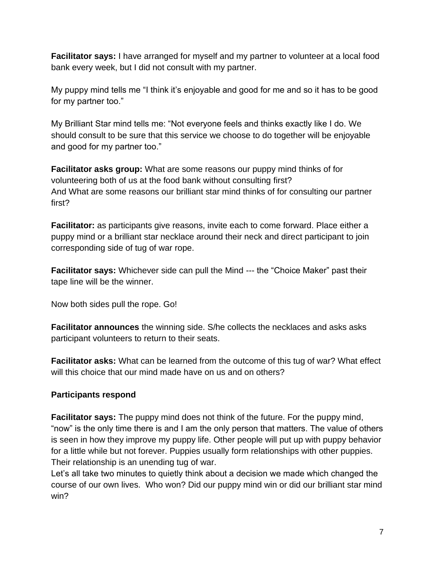**Facilitator says:** I have arranged for myself and my partner to volunteer at a local food bank every week, but I did not consult with my partner.

My puppy mind tells me "I think it's enjoyable and good for me and so it has to be good for my partner too."

My Brilliant Star mind tells me: "Not everyone feels and thinks exactly like I do. We should consult to be sure that this service we choose to do together will be enjoyable and good for my partner too."

**Facilitator asks group:** What are some reasons our puppy mind thinks of for volunteering both of us at the food bank without consulting first? And What are some reasons our brilliant star mind thinks of for consulting our partner first?

**Facilitator:** as participants give reasons, invite each to come forward. Place either a puppy mind or a brilliant star necklace around their neck and direct participant to join corresponding side of tug of war rope.

**Facilitator says:** Whichever side can pull the Mind --- the "Choice Maker" past their tape line will be the winner.

Now both sides pull the rope. Go!

**Facilitator announces** the winning side. S/he collects the necklaces and asks asks participant volunteers to return to their seats.

**Facilitator asks:** What can be learned from the outcome of this tug of war? What effect will this choice that our mind made have on us and on others?

#### **Participants respond**

**Facilitator says:** The puppy mind does not think of the future. For the puppy mind, "now" is the only time there is and I am the only person that matters. The value of others is seen in how they improve my puppy life. Other people will put up with puppy behavior for a little while but not forever. Puppies usually form relationships with other puppies. Their relationship is an unending tug of war.

Let's all take two minutes to quietly think about a decision we made which changed the course of our own lives. Who won? Did our puppy mind win or did our brilliant star mind win?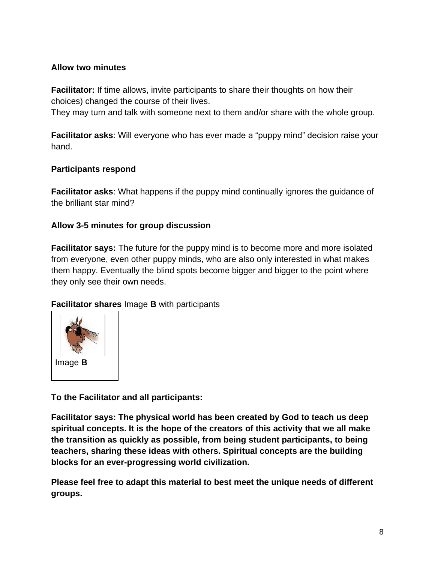### **Allow two minutes**

**Facilitator:** If time allows, invite participants to share their thoughts on how their choices) changed the course of their lives.

They may turn and talk with someone next to them and/or share with the whole group.

**Facilitator asks**: Will everyone who has ever made a "puppy mind" decision raise your hand.

#### **Participants respond**

**Facilitator asks**: What happens if the puppy mind continually ignores the guidance of the brilliant star mind?

### **Allow 3-5 minutes for group discussion**

**Facilitator says:** The future for the puppy mind is to become more and more isolated from everyone, even other puppy minds, who are also only interested in what makes them happy. Eventually the blind spots become bigger and bigger to the point where they only see their own needs.

**Facilitator shares** Image **B** with participants



**To the Facilitator and all participants:** 

**Facilitator says: The physical world has been created by God to teach us deep spiritual concepts. It is the hope of the creators of this activity that we all make the transition as quickly as possible, from being student participants, to being teachers, sharing these ideas with others. Spiritual concepts are the building blocks for an ever-progressing world civilization.**

**Please feel free to adapt this material to best meet the unique needs of different groups.**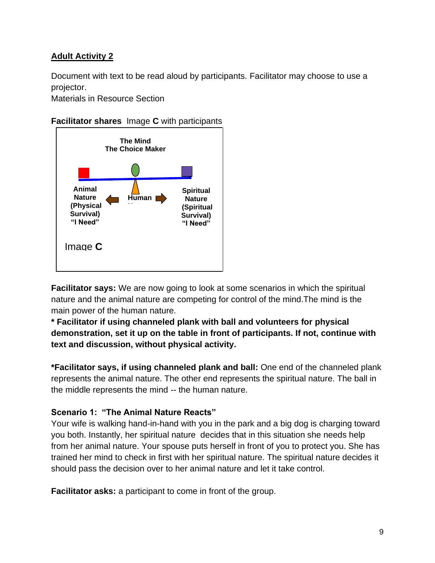### **Adult Activity 2**

Document with text to be read aloud by participants. Facilitator may choose to use a projector.

Materials in Resource Section

#### **Facilitator shares** Image **C** with participants



**Facilitator says:** We are now going to look at some scenarios in which the spiritual nature and the animal nature are competing for control of the mind.The mind is the main power of the human nature.

**\* Facilitator if using channeled plank with ball and volunteers for physical demonstration, set it up on the table in front of participants. If not, continue with text and discussion, without physical activity.**

**\*Facilitator says, if using channeled plank and ball:** One end of the channeled plank represents the animal nature. The other end represents the spiritual nature. The ball in the middle represents the mind -- the human nature.

#### **Scenario 1: "The Animal Nature Reacts"**

Your wife is walking hand-in-hand with you in the park and a big dog is charging toward you both. Instantly, her spiritual nature decides that in this situation she needs help from her animal nature. Your spouse puts herself in front of you to protect you. She has trained her mind to check in first with her spiritual nature. The spiritual nature decides it should pass the decision over to her animal nature and let it take control.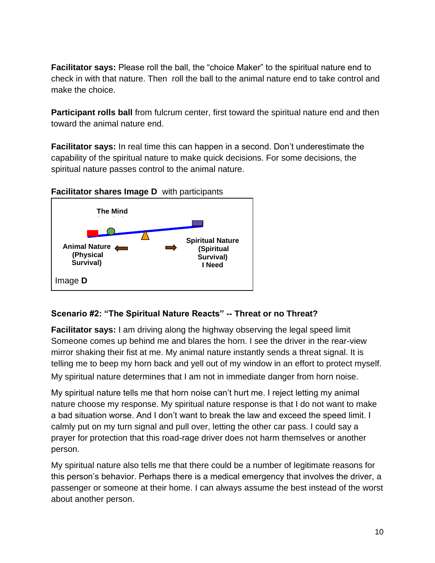**Facilitator says:** Please roll the ball, the "choice Maker" to the spiritual nature end to check in with that nature. Then roll the ball to the animal nature end to take control and make the choice.

**Participant rolls ball** from fulcrum center, first toward the spiritual nature end and then toward the animal nature end.

**Facilitator says:** In real time this can happen in a second. Don't underestimate the capability of the spiritual nature to make quick decisions. For some decisions, the spiritual nature passes control to the animal nature.

#### **Facilitator shares Image D** with participants



## **Scenario #2: "The Spiritual Nature Reacts" -- Threat or no Threat?**

**Facilitator says:** I am driving along the highway observing the legal speed limit Someone comes up behind me and blares the horn. I see the driver in the rear-view mirror shaking their fist at me. My animal nature instantly sends a threat signal. It is telling me to beep my horn back and yell out of my window in an effort to protect myself. My spiritual nature determines that I am not in immediate danger from horn noise.

My spiritual nature tells me that horn noise can't hurt me. I reject letting my animal nature choose my response. My spiritual nature response is that I do not want to make a bad situation worse. And I don't want to break the law and exceed the speed limit. I calmly put on my turn signal and pull over, letting the other car pass. I could say a prayer for protection that this road-rage driver does not harm themselves or another person.

My spiritual nature also tells me that there could be a number of legitimate reasons for this person's behavior. Perhaps there is a medical emergency that involves the driver, a passenger or someone at their home. I can always assume the best instead of the worst about another person.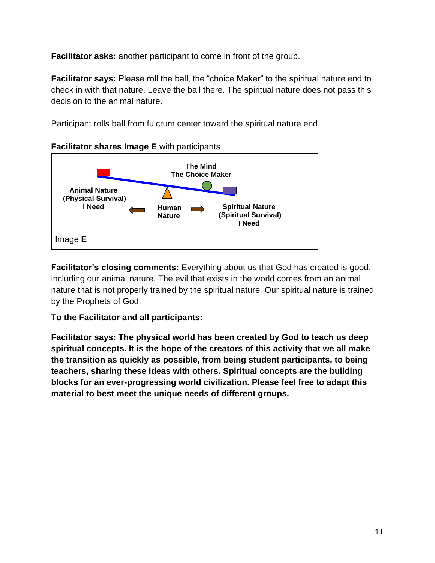**Facilitator asks:** another participant to come in front of the group.

**Facilitator says:** Please roll the ball, the "choice Maker" to the spiritual nature end to check in with that nature. Leave the ball there. The spiritual nature does not pass this decision to the animal nature.

Participant rolls ball from fulcrum center toward the spiritual nature end.



**Facilitator's closing comments:** Everything about us that God has created is good, including our animal nature. The evil that exists in the world comes from an animal nature that is not properly trained by the spiritual nature. Our spiritual nature is trained by the Prophets of God.

## **To the Facilitator and all participants:**

**Facilitator says: The physical world has been created by God to teach us deep spiritual concepts. It is the hope of the creators of this activity that we all make the transition as quickly as possible, from being student participants, to being teachers, sharing these ideas with others. Spiritual concepts are the building blocks for an ever-progressing world civilization. Please feel free to adapt this material to best meet the unique needs of different groups.**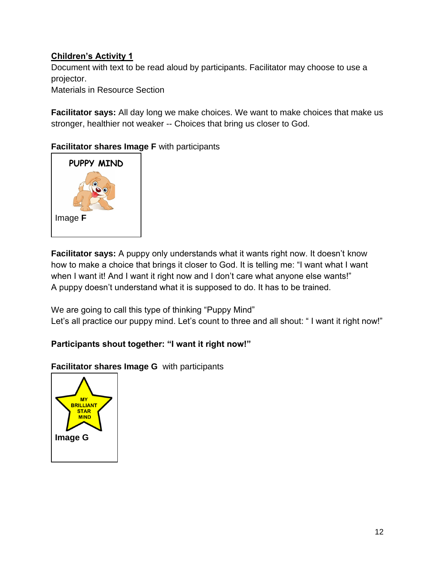## **Children's Activity 1**

Document with text to be read aloud by participants. Facilitator may choose to use a projector.

Materials in Resource Section

**Facilitator says:** All day long we make choices. We want to make choices that make us stronger, healthier not weaker -- Choices that bring us closer to God.

**Facilitator shares Image F** with participants



**Facilitator says:** A puppy only understands what it wants right now. It doesn't know how to make a choice that brings it closer to God. It is telling me: "I want what I want when I want it! And I want it right now and I don't care what anyone else wants!" A puppy doesn't understand what it is supposed to do. It has to be trained.

We are going to call this type of thinking "Puppy Mind" Let's all practice our puppy mind. Let's count to three and all shout: "I want it right now!"

# **Participants shout together: "I want it right now!"**

**Facilitator shares Image G** with participants

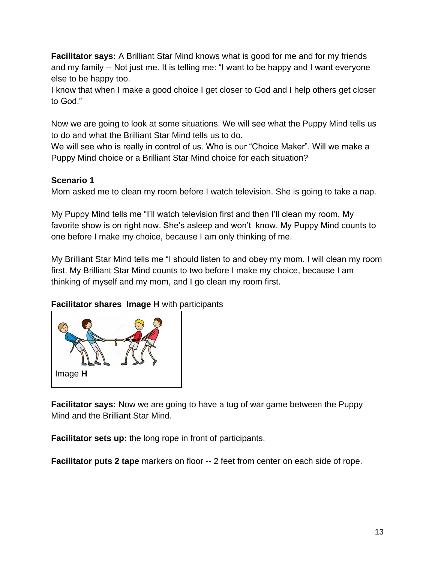**Facilitator says:** A Brilliant Star Mind knows what is good for me and for my friends and my family -- Not just me. It is telling me: "I want to be happy and I want everyone else to be happy too.

I know that when I make a good choice I get closer to God and I help others get closer to God."

Now we are going to look at some situations. We will see what the Puppy Mind tells us to do and what the Brilliant Star Mind tells us to do.

We will see who is really in control of us. Who is our "Choice Maker". Will we make a Puppy Mind choice or a Brilliant Star Mind choice for each situation?

## **Scenario 1**

Mom asked me to clean my room before I watch television. She is going to take a nap.

My Puppy Mind tells me "I'll watch television first and then I'll clean my room. My favorite show is on right now. She's asleep and won't know. My Puppy Mind counts to one before I make my choice, because I am only thinking of me.

My Brilliant Star Mind tells me "I should listen to and obey my mom. I will clean my room first. My Brilliant Star Mind counts to two before I make my choice, because I am thinking of myself and my mom, and I go clean my room first.

# **Facilitator shares Image H** with participants



**Facilitator says:** Now we are going to have a tug of war game between the Puppy Mind and the Brilliant Star Mind.

**Facilitator sets up:** the long rope in front of participants.

**Facilitator puts 2 tape** markers on floor -- 2 feet from center on each side of rope.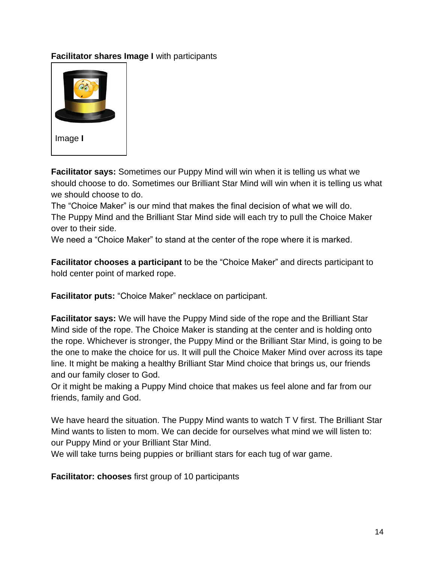### **Facilitator shares Image I** with participants



**Facilitator says:** Sometimes our Puppy Mind will win when it is telling us what we should choose to do. Sometimes our Brilliant Star Mind will win when it is telling us what we should choose to do.

The "Choice Maker" is our mind that makes the final decision of what we will do. The Puppy Mind and the Brilliant Star Mind side will each try to pull the Choice Maker over to their side.

We need a "Choice Maker" to stand at the center of the rope where it is marked.

**Facilitator chooses a participant** to be the "Choice Maker" and directs participant to hold center point of marked rope.

**Facilitator puts:** "Choice Maker" necklace on participant.

**Facilitator says:** We will have the Puppy Mind side of the rope and the Brilliant Star Mind side of the rope. The Choice Maker is standing at the center and is holding onto the rope. Whichever is stronger, the Puppy Mind or the Brilliant Star Mind, is going to be the one to make the choice for us. It will pull the Choice Maker Mind over across its tape line. It might be making a healthy Brilliant Star Mind choice that brings us, our friends and our family closer to God.

Or it might be making a Puppy Mind choice that makes us feel alone and far from our friends, family and God.

We have heard the situation. The Puppy Mind wants to watch T V first. The Brilliant Star Mind wants to listen to mom. We can decide for ourselves what mind we will listen to: our Puppy Mind or your Brilliant Star Mind.

We will take turns being puppies or brilliant stars for each tug of war game.

**Facilitator: chooses** first group of 10 participants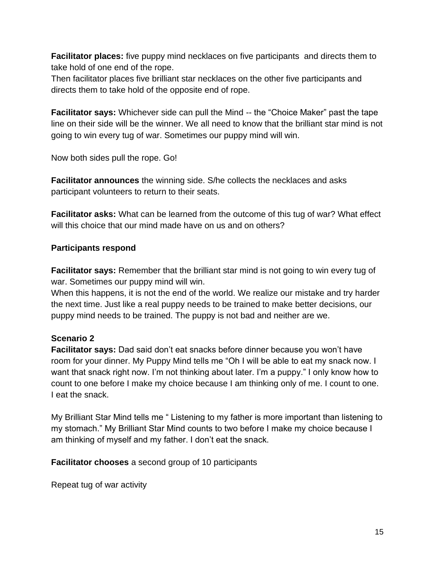**Facilitator places:** five puppy mind necklaces on five participants and directs them to take hold of one end of the rope.

Then facilitator places five brilliant star necklaces on the other five participants and directs them to take hold of the opposite end of rope.

**Facilitator says:** Whichever side can pull the Mind -- the "Choice Maker" past the tape line on their side will be the winner. We all need to know that the brilliant star mind is not going to win every tug of war. Sometimes our puppy mind will win.

Now both sides pull the rope. Go!

**Facilitator announces** the winning side. S/he collects the necklaces and asks participant volunteers to return to their seats.

**Facilitator asks:** What can be learned from the outcome of this tug of war? What effect will this choice that our mind made have on us and on others?

## **Participants respond**

**Facilitator says:** Remember that the brilliant star mind is not going to win every tug of war. Sometimes our puppy mind will win.

When this happens, it is not the end of the world. We realize our mistake and try harder the next time. Just like a real puppy needs to be trained to make better decisions, our puppy mind needs to be trained. The puppy is not bad and neither are we.

# **Scenario 2**

**Facilitator says:** Dad said don't eat snacks before dinner because you won't have room for your dinner. My Puppy Mind tells me "Oh I will be able to eat my snack now. I want that snack right now. I'm not thinking about later. I'm a puppy." I only know how to count to one before I make my choice because I am thinking only of me. I count to one. I eat the snack.

My Brilliant Star Mind tells me " Listening to my father is more important than listening to my stomach." My Brilliant Star Mind counts to two before I make my choice because I am thinking of myself and my father. I don't eat the snack.

**Facilitator chooses** a second group of 10 participants

Repeat tug of war activity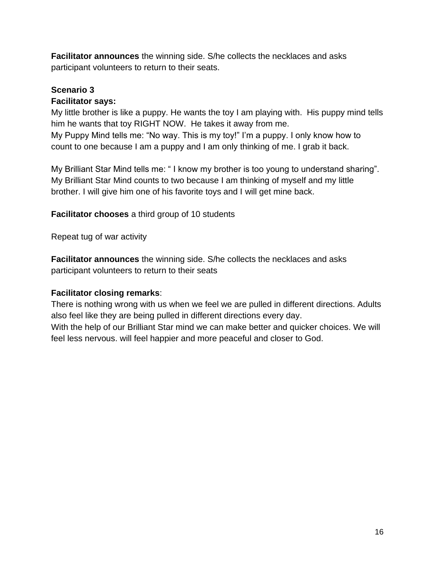**Facilitator announces** the winning side. S/he collects the necklaces and asks participant volunteers to return to their seats.

### **Scenario 3**

#### **Facilitator says:**

My little brother is like a puppy. He wants the toy I am playing with. His puppy mind tells him he wants that toy RIGHT NOW. He takes it away from me. My Puppy Mind tells me: "No way. This is my toy!" I'm a puppy. I only know how to count to one because I am a puppy and I am only thinking of me. I grab it back.

My Brilliant Star Mind tells me: " I know my brother is too young to understand sharing". My Brilliant Star Mind counts to two because I am thinking of myself and my little brother. I will give him one of his favorite toys and I will get mine back.

**Facilitator chooses** a third group of 10 students

Repeat tug of war activity

**Facilitator announces** the winning side. S/he collects the necklaces and asks participant volunteers to return to their seats

## **Facilitator closing remarks**:

There is nothing wrong with us when we feel we are pulled in different directions. Adults also feel like they are being pulled in different directions every day.

With the help of our Brilliant Star mind we can make better and quicker choices. We will feel less nervous. will feel happier and more peaceful and closer to God.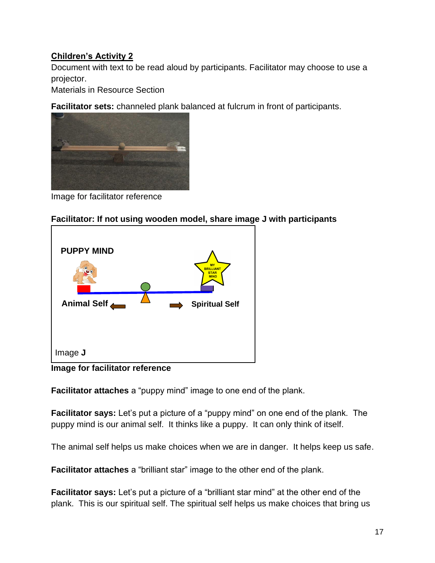## **Children's Activity 2**

Document with text to be read aloud by participants. Facilitator may choose to use a projector.

Materials in Resource Section

**Facilitator sets:** channeled plank balanced at fulcrum in front of participants.



Image for facilitator reference

#### **Facilitator: If not using wooden model, share image J with participants**



**Image for facilitator reference**

**Facilitator attaches** a "puppy mind" image to one end of the plank.

**Facilitator says:** Let's put a picture of a "puppy mind" on one end of the plank. The puppy mind is our animal self. It thinks like a puppy. It can only think of itself.

The animal self helps us make choices when we are in danger. It helps keep us safe.

**Facilitator attaches** a "brilliant star" image to the other end of the plank.

**Facilitator says:** Let's put a picture of a "brilliant star mind" at the other end of the plank. This is our spiritual self. The spiritual self helps us make choices that bring us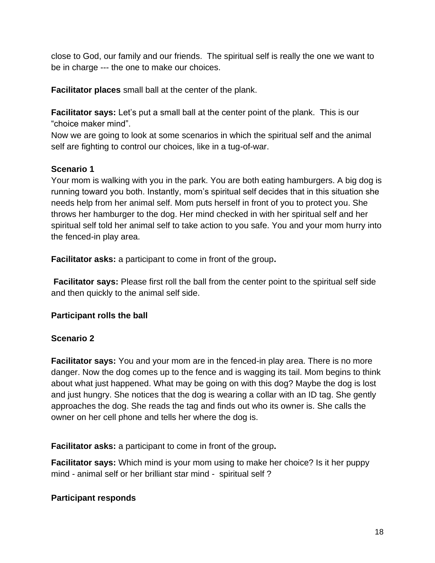close to God, our family and our friends. The spiritual self is really the one we want to be in charge --- the one to make our choices.

**Facilitator places** small ball at the center of the plank.

**Facilitator says:** Let's put a small ball at the center point of the plank. This is our "choice maker mind".

Now we are going to look at some scenarios in which the spiritual self and the animal self are fighting to control our choices, like in a tug-of-war.

## **Scenario 1**

Your mom is walking with you in the park. You are both eating hamburgers. A big dog is running toward you both. Instantly, mom's spiritual self decides that in this situation she needs help from her animal self. Mom puts herself in front of you to protect you. She throws her hamburger to the dog. Her mind checked in with her spiritual self and her spiritual self told her animal self to take action to you safe. You and your mom hurry into the fenced-in play area.

**Facilitator asks:** a participant to come in front of the group**.**

**Facilitator says:** Please first roll the ball from the center point to the spiritual self side and then quickly to the animal self side.

# **Participant rolls the ball**

## **Scenario 2**

**Facilitator says:** You and your mom are in the fenced-in play area. There is no more danger. Now the dog comes up to the fence and is wagging its tail. Mom begins to think about what just happened. What may be going on with this dog? Maybe the dog is lost and just hungry. She notices that the dog is wearing a collar with an ID tag. She gently approaches the dog. She reads the tag and finds out who its owner is. She calls the owner on her cell phone and tells her where the dog is.

**Facilitator asks:** a participant to come in front of the group**.**

**Facilitator says:** Which mind is your mom using to make her choice? Is it her puppy mind - animal self or her brilliant star mind - spiritual self ?

## **Participant responds**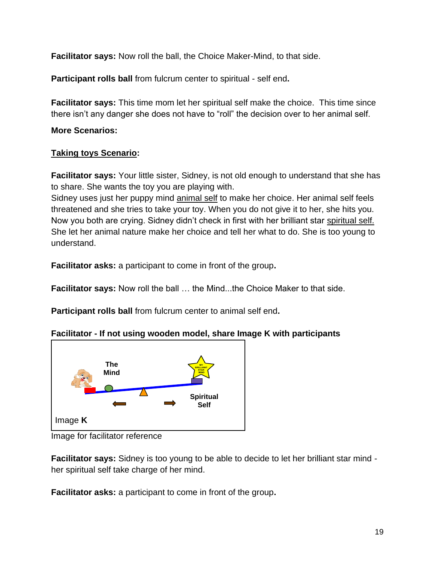**Facilitator says:** Now roll the ball, the Choice Maker-Mind, to that side.

**Participant rolls ball** from fulcrum center to spiritual - self end**.** 

**Facilitator says:** This time mom let her spiritual self make the choice. This time since there isn't any danger she does not have to "roll" the decision over to her animal self.

**More Scenarios:**

### **Taking toys Scenario:**

**Facilitator says:** Your little sister, Sidney, is not old enough to understand that she has to share. She wants the toy you are playing with.

Sidney uses just her puppy mind animal self to make her choice. Her animal self feels threatened and she tries to take your toy. When you do not give it to her, she hits you. Now you both are crying. Sidney didn't check in first with her brilliant star spiritual self. She let her animal nature make her choice and tell her what to do. She is too young to understand.

**Facilitator asks:** a participant to come in front of the group**.**

**Facilitator says:** Now roll the ball … the Mind...the Choice Maker to that side.

**Participant rolls ball** from fulcrum center to animal self end**.** 

## **Facilitator - If not using wooden model, share Image K with participants**



Image for facilitator reference

**Facilitator says:** Sidney is too young to be able to decide to let her brilliant star mind her spiritual self take charge of her mind.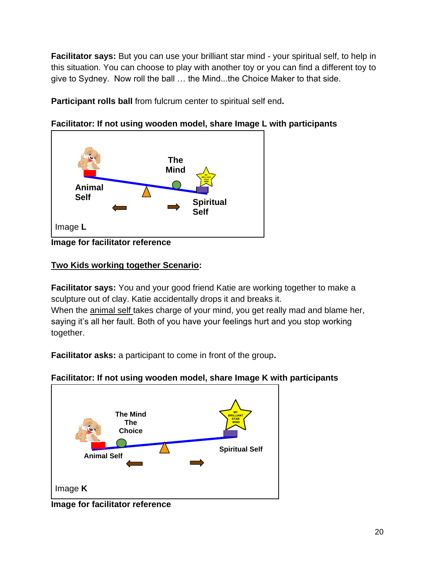**Facilitator says:** But you can use your brilliant star mind - your spiritual self, to help in this situation. You can choose to play with another toy or you can find a different toy to give to Sydney. Now roll the ball … the Mind...the Choice Maker to that side.

**Participant rolls ball** from fulcrum center to spiritual self end**.** 



**Facilitator: If not using wooden model, share Image L with participants**

# **Two Kids working together Scenario:**

**Facilitator says:** You and your good friend Katie are working together to make a sculpture out of clay. Katie accidentally drops it and breaks it. When the animal self takes charge of your mind, you get really mad and blame her, saying it's all her fault. Both of you have your feelings hurt and you stop working together.



**Facilitator: If not using wooden model, share Image K with participants**

**Image for facilitator reference**

**Image for facilitator reference**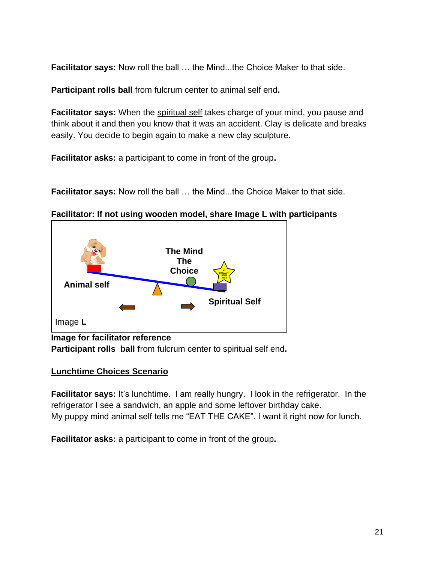**Facilitator says:** Now roll the ball … the Mind...the Choice Maker to that side.

**Participant rolls ball** from fulcrum center to animal self end**.** 

**Facilitator says:** When the spiritual self takes charge of your mind, you pause and think about it and then you know that it was an accident. Clay is delicate and breaks easily. You decide to begin again to make a new clay sculpture.

**Facilitator asks:** a participant to come in front of the group**.**

**Facilitator says:** Now roll the ball … the Mind...the Choice Maker to that side.

**Facilitator: If not using wooden model, share Image L with participants**



**Image for facilitator reference Participant rolls ball f**rom fulcrum center to spiritual self end**.** 

#### **Lunchtime Choices Scenario**

**Facilitator says:** It's lunchtime. I am really hungry. I look in the refrigerator. In the refrigerator I see a sandwich, an apple and some leftover birthday cake. My puppy mind animal self tells me "EAT THE CAKE". I want it right now for lunch.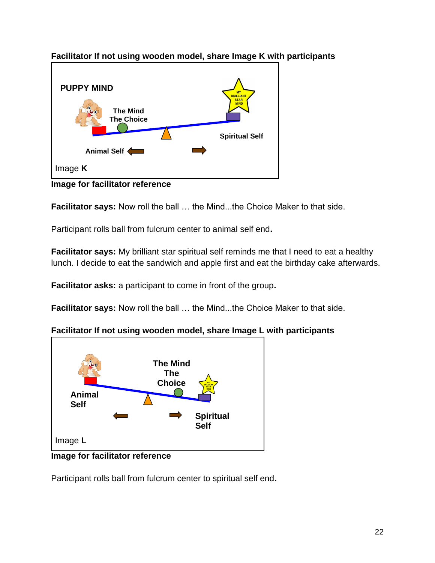

**Facilitator If not using wooden model, share Image K with participants**

**Image for facilitator reference**

**Facilitator says:** Now roll the ball … the Mind...the Choice Maker to that side.

Participant rolls ball from fulcrum center to animal self end**.** 

**Facilitator says:** My brilliant star spiritual self reminds me that I need to eat a healthy lunch. I decide to eat the sandwich and apple first and eat the birthday cake afterwards.

**Facilitator asks:** a participant to come in front of the group**.**

**Facilitator says:** Now roll the ball … the Mind...the Choice Maker to that side.

# **Facilitator If not using wooden model, share Image L with participants**



**Image for facilitator reference**

Participant rolls ball from fulcrum center to spiritual self end**.**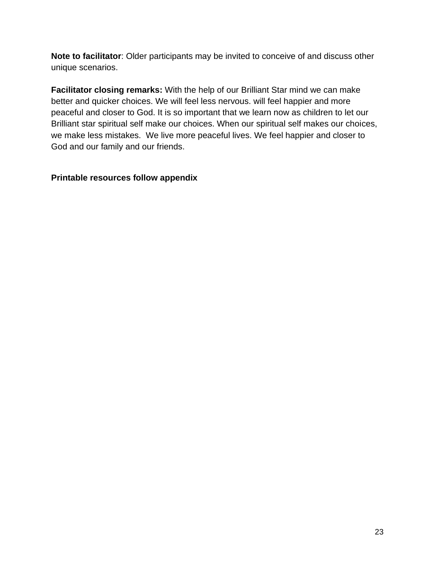**Note to facilitator**: Older participants may be invited to conceive of and discuss other unique scenarios.

**Facilitator closing remarks:** With the help of our Brilliant Star mind we can make better and quicker choices. We will feel less nervous. will feel happier and more peaceful and closer to God. It is so important that we learn now as children to let our Brilliant star spiritual self make our choices. When our spiritual self makes our choices, we make less mistakes. We live more peaceful lives. We feel happier and closer to God and our family and our friends.

### **Printable resources follow appendix**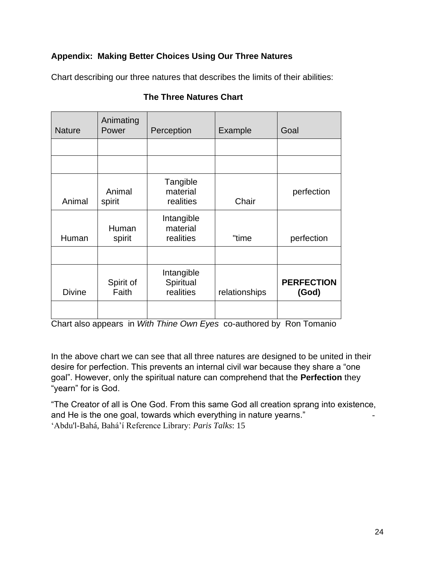## **Appendix: Making Better Choices Using Our Three Natures**

Chart describing our three natures that describes the limits of their abilities:

| <b>Nature</b> | Animating<br>Power | Perception                           | Example       | Goal                       |
|---------------|--------------------|--------------------------------------|---------------|----------------------------|
|               |                    |                                      |               |                            |
|               |                    |                                      |               |                            |
| Animal        | Animal<br>spirit   | Tangible<br>material<br>realities    | Chair         | perfection                 |
| Human         | Human<br>spirit    | Intangible<br>material<br>realities  | "time         | perfection                 |
|               |                    |                                      |               |                            |
| <b>Divine</b> | Spirit of<br>Faith | Intangible<br>Spiritual<br>realities | relationships | <b>PERFECTION</b><br>(God) |
|               |                    |                                      |               |                            |

## **The Three Natures Chart**

Chart also appears in *With Thine Own Eyes* co-authored by Ron Tomanio

In the above chart we can see that all three natures are designed to be united in their desire for perfection. This prevents an internal civil war because they share a "one goal". However, only the spiritual nature can comprehend that the **Perfection** they "yearn" for is God.

"The Creator of all is One God. From this same God all creation sprang into existence, and He is the one goal, towards which everything in nature yearns." 'Abdu'l-Bahá, Bahá'í Reference Library: *Paris Talks*: 15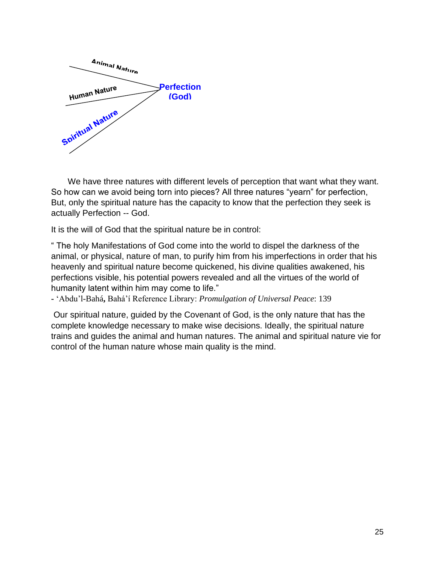

We have three natures with different levels of perception that want what they want. So how can we avoid being torn into pieces? All three natures "yearn" for perfection, But, only the spiritual nature has the capacity to know that the perfection they seek is actually Perfection -- God.

It is the will of God that the spiritual nature be in control:

" The holy Manifestations of God come into the world to dispel the darkness of the animal, or physical, nature of man, to purify him from his imperfections in order that his heavenly and spiritual nature become quickened, his divine qualities awakened, his perfections visible, his potential powers revealed and all the virtues of the world of humanity latent within him may come to life."

**-** 'Abdu'l-Bahá**,** Bahá'í Reference Library: *Promulgation of Universal Peace*: 139

Our spiritual nature, guided by the Covenant of God, is the only nature that has the complete knowledge necessary to make wise decisions. Ideally, the spiritual nature trains and guides the animal and human natures. The animal and spiritual nature vie for control of the human nature whose main quality is the mind.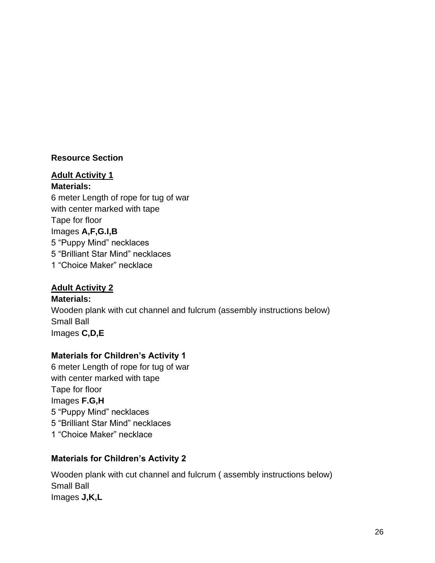#### **Resource Section**

#### **Adult Activity 1**

**Materials:**

6 meter Length of rope for tug of war with center marked with tape Tape for floor Images **A,F,G.I,B** 5 "Puppy Mind" necklaces 5 "Brilliant Star Mind" necklaces 1 "Choice Maker" necklace

#### **Adult Activity 2**

**Materials:** Wooden plank with cut channel and fulcrum (assembly instructions below) Small Ball Images **C,D,E** 

#### **Materials for Children's Activity 1**

6 meter Length of rope for tug of war with center marked with tape Tape for floor Images **F.G,H** 5 "Puppy Mind" necklaces 5 "Brilliant Star Mind" necklaces 1 "Choice Maker" necklace

#### **Materials for Children's Activity 2**

Wooden plank with cut channel and fulcrum ( assembly instructions below) Small Ball Images **J,K,L**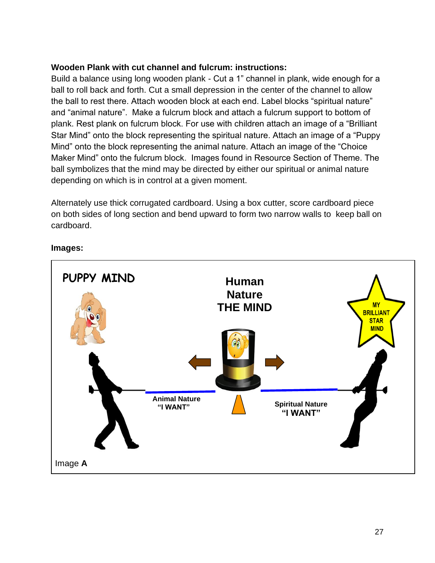#### **Wooden Plank with cut channel and fulcrum: instructions:**

Build a balance using long wooden plank - Cut a 1" channel in plank, wide enough for a ball to roll back and forth. Cut a small depression in the center of the channel to allow the ball to rest there. Attach wooden block at each end. Label blocks "spiritual nature" and "animal nature". Make a fulcrum block and attach a fulcrum support to bottom of plank. Rest plank on fulcrum block. For use with children attach an image of a "Brilliant Star Mind" onto the block representing the spiritual nature. Attach an image of a "Puppy Mind" onto the block representing the animal nature. Attach an image of the "Choice Maker Mind" onto the fulcrum block. Images found in Resource Section of Theme. The ball symbolizes that the mind may be directed by either our spiritual or animal nature depending on which is in control at a given moment.

Alternately use thick corrugated cardboard. Using a box cutter, score cardboard piece on both sides of long section and bend upward to form two narrow walls to keep ball on cardboard.



#### **Images:**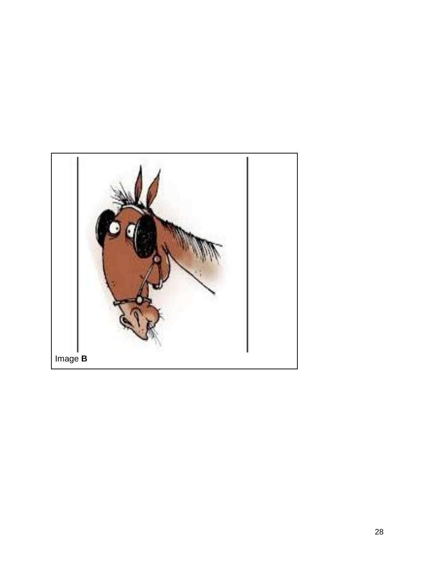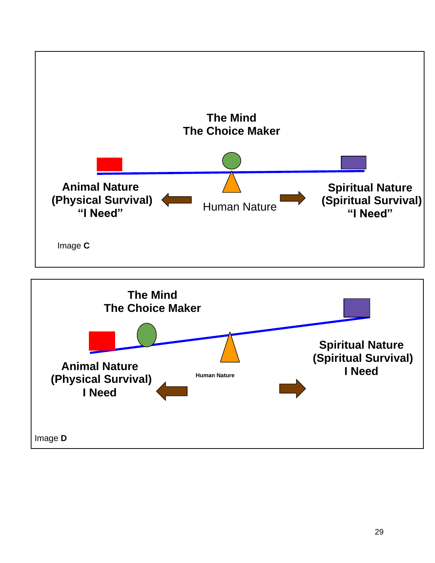

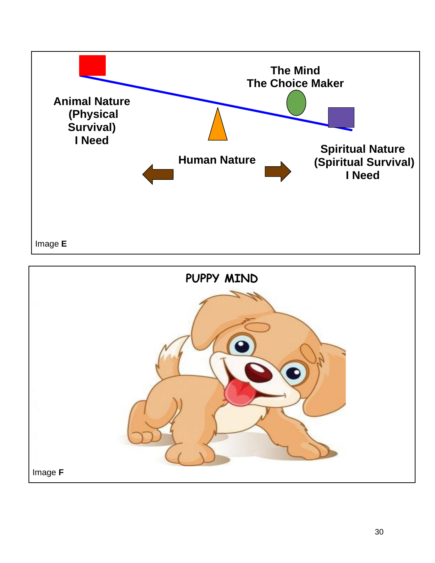

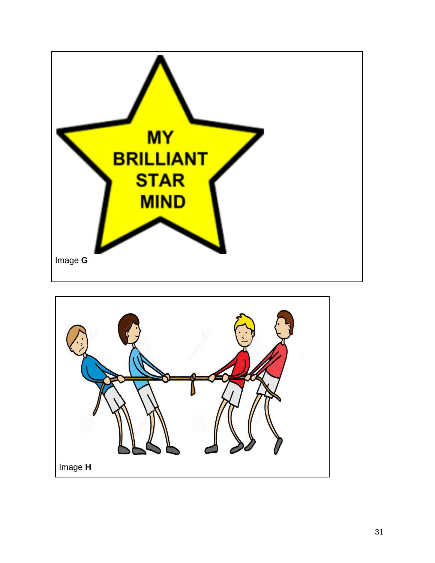

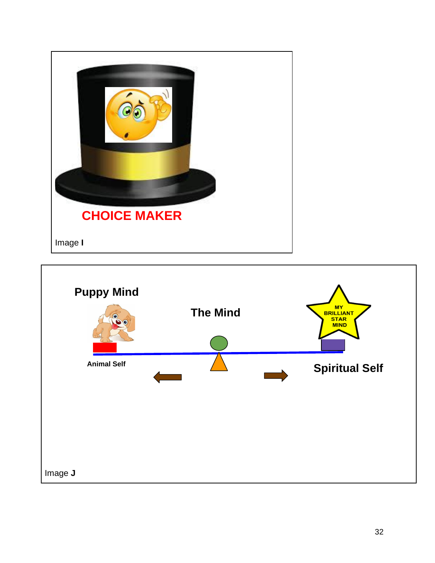